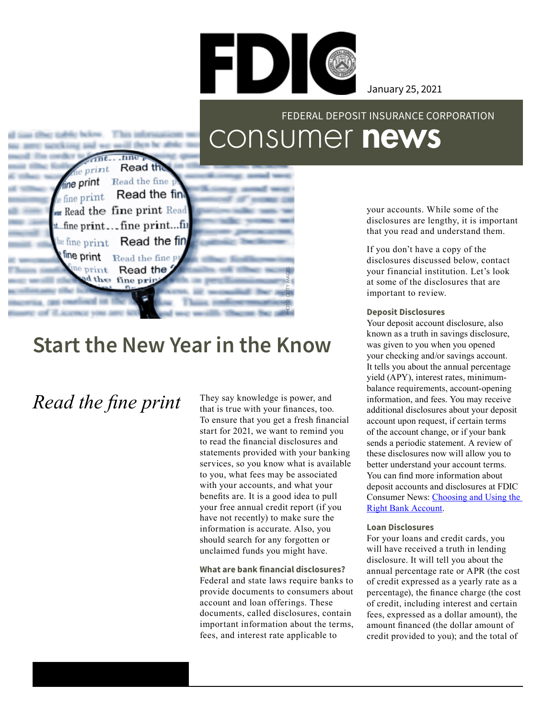

January 25, 2021

### consumer news FEDERAL DEPOSIT INSURANCE CORPORATION

 $e$  print fine print Read the fine Read the fint  $\rho$  fine print **m** Read the fine print Read t...fine print...fine print...fii Read the fin  $e$  fine print fine print Read the fine p  $e$  print Read the PHOTO: GETTY IMAGES d the fine prin

then be affol-

Read the

## **Start the New Year in the Know**

*Read the fine print*

They say knowledge is power, and that is true with your finances, too. To ensure that you get a fresh financial start for 2021, we want to remind you to read the financial disclosures and statements provided with your banking services, so you know what is available to you, what fees may be associated with your accounts, and what your benefits are. It is a good idea to pull your free annual credit report (if you have not recently) to make sure the information is accurate. Also, you should search for any forgotten or unclaimed funds you might have.

**What are bank financial disclosures?**  Federal and state laws require banks to provide documents to consumers about account and loan offerings. These documents, called disclosures, contain important information about the terms, fees, and interest rate applicable to

your accounts. While some of the disclosures are lengthy, it is important that you read and understand them.

If you don't have a copy of the disclosures discussed below, contact your financial institution. Let's look at some of the disclosures that are important to review.

#### **Deposit Disclosures**

Your deposit account disclosure, also known as a truth in savings disclosure, was given to you when you opened your checking and/or savings account. It tells you about the annual percentage yield (APY), interest rates, minimumbalance requirements, account-opening information, and fees. You may receive additional disclosures about your deposit account upon request, if certain terms of the account change, or if your bank sends a periodic statement. A review of these disclosures now will allow you to better understand your account terms. You can find more information about deposit accounts and disclosures at FDIC Consumer News: [Choosing and Using the](https://www.fdic.gov/consumers/consumer/news/cnsum16/accounts.html)  [Right Bank Account](https://www.fdic.gov/consumers/consumer/news/cnsum16/accounts.html).

#### **Loan Disclosures**

For your loans and credit cards, you will have received a truth in lending disclosure. It will tell you about the annual percentage rate or APR (the cost of credit expressed as a yearly rate as a percentage), the finance charge (the cost of credit, including interest and certain fees, expressed as a dollar amount), the amount financed (the dollar amount of credit provided to you); and the total of